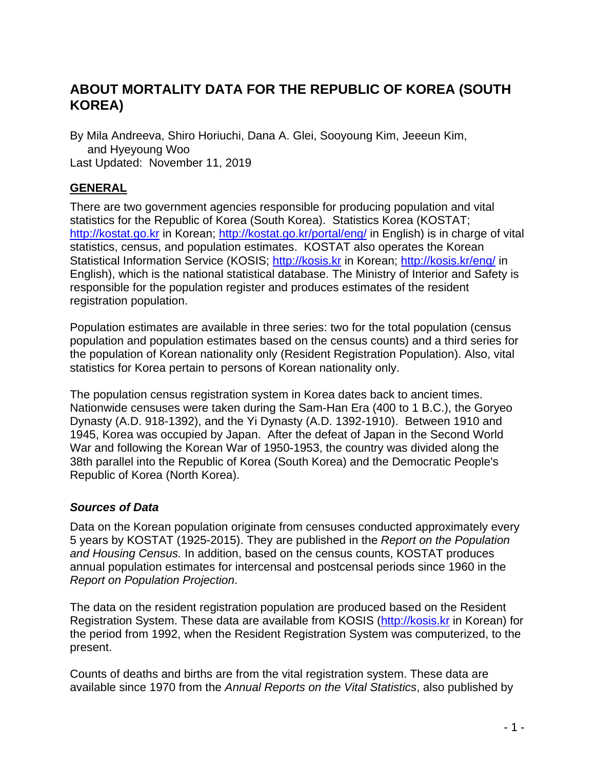# **ABOUT MORTALITY DATA FOR THE REPUBLIC OF KOREA (SOUTH KOREA)**

By Mila Andreeva, Shiro Horiuchi, Dana A. Glei, Sooyoung Kim, Jeeeun Kim, and Hyeyoung Woo Last Updated: November 11, 2019

#### **GENERAL**

There are two government agencies responsible for producing population and vital statistics for the Republic of Korea (South Korea). Statistics Korea (KOSTAT; [http://kostat.go.kr](http://kostat.go.kr/) in Korean;<http://kostat.go.kr/portal/eng/> in English) is in charge of vital statistics, census, and population estimates. KOSTAT also operates the Korean Statistical Information Service (KOSIS; [http://kosis.kr](http://kosis.kr/) in Korean;<http://kosis.kr/eng/> in English), which is the national statistical database. The Ministry of Interior and Safety is responsible for the population register and produces estimates of the resident registration population.

Population estimates are available in three series: two for the total population (census population and population estimates based on the census counts) and a third series for the population of Korean nationality only (Resident Registration Population). Also, vital statistics for Korea pertain to persons of Korean nationality only.

The population census registration system in Korea dates back to ancient times. Nationwide censuses were taken during the Sam-Han Era (400 to 1 B.C.), the Goryeo Dynasty (A.D. 918-1392), and the Yi Dynasty (A.D. 1392-1910). Between 1910 and 1945, Korea was occupied by Japan. After the defeat of Japan in the Second World War and following the Korean War of 1950-1953, the country was divided along the 38th parallel into the Republic of Korea (South Korea) and the Democratic People's Republic of Korea (North Korea).

#### *Sources of Data*

Data on the Korean population originate from censuses conducted approximately every 5 years by KOSTAT (1925-2015). They are published in the *Report on the Population and Housing Census.* In addition, based on the census counts, KOSTAT produces annual population estimates for intercensal and postcensal periods since 1960 in the *Report on Population Projection*.

The data on the resident registration population are produced based on the Resident Registration System. These data are available from KOSIS [\(http://kosis.kr](http://kosis.kr/) in Korean) for the period from 1992, when the Resident Registration System was computerized, to the present.

Counts of deaths and births are from the vital registration system. These data are available since 1970 from the *Annual Reports on the Vital Statistics*, also published by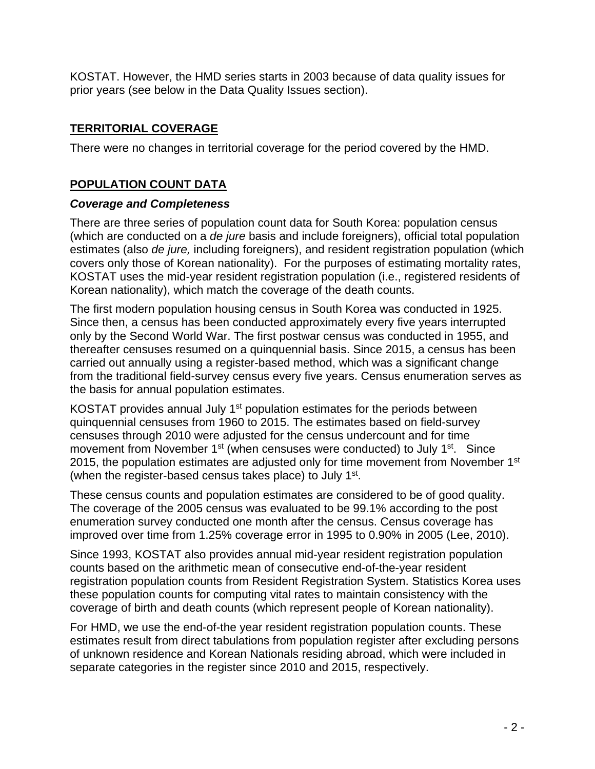KOSTAT. However, the HMD series starts in 2003 because of data quality issues for prior years (see below in the Data Quality Issues section).

# **TERRITORIAL COVERAGE**

There were no changes in territorial coverage for the period covered by the HMD.

### **POPULATION COUNT DATA**

#### *Coverage and Completeness*

There are three series of population count data for South Korea: population census (which are conducted on a *de jure* basis and include foreigners), official total population estimates (also *de jure,* including foreigners), and resident registration population (which covers only those of Korean nationality). For the purposes of estimating mortality rates, KOSTAT uses the mid-year resident registration population (i.e., registered residents of Korean nationality), which match the coverage of the death counts.

The first modern population housing census in South Korea was conducted in 1925. Since then, a census has been conducted approximately every five years interrupted only by the Second World War. The first postwar census was conducted in 1955, and thereafter censuses resumed on a quinquennial basis. Since 2015, a census has been carried out annually using a register-based method, which was a significant change from the traditional field-survey census every five years. Census enumeration serves as the basis for annual population estimates.

KOSTAT provides annual July 1<sup>st</sup> population estimates for the periods between quinquennial censuses from 1960 to 2015. The estimates based on field-survey censuses through 2010 were adjusted for the census undercount and for time movement from November 1<sup>st</sup> (when censuses were conducted) to July 1<sup>st</sup>. Since 2015, the population estimates are adjusted only for time movement from November 1<sup>st</sup> (when the register-based census takes place) to July 1<sup>st</sup>.

These census counts and population estimates are considered to be of good quality. The coverage of the 2005 census was evaluated to be 99.1% according to the post enumeration survey conducted one month after the census. Census coverage has improved over time from 1.25% coverage error in 1995 to 0.90% in 2005 (Lee, 2010).

Since 1993, KOSTAT also provides annual mid-year resident registration population counts based on the arithmetic mean of consecutive end-of-the-year resident registration population counts from Resident Registration System. Statistics Korea uses these population counts for computing vital rates to maintain consistency with the coverage of birth and death counts (which represent people of Korean nationality).

For HMD, we use the end-of-the year resident registration population counts. These estimates result from direct tabulations from population register after excluding persons of unknown residence and Korean Nationals residing abroad, which were included in separate categories in the register since 2010 and 2015, respectively.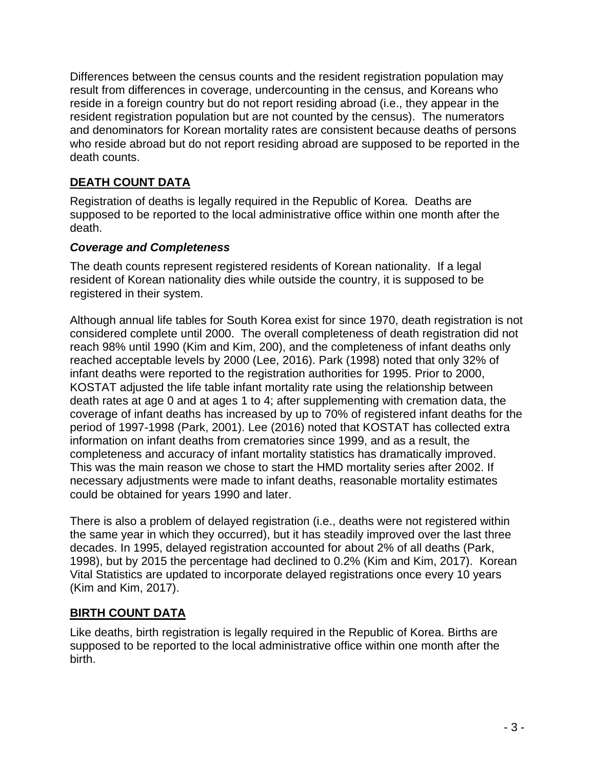Differences between the census counts and the resident registration population may result from differences in coverage, undercounting in the census, and Koreans who reside in a foreign country but do not report residing abroad (i.e., they appear in the resident registration population but are not counted by the census). The numerators and denominators for Korean mortality rates are consistent because deaths of persons who reside abroad but do not report residing abroad are supposed to be reported in the death counts.

# **DEATH COUNT DATA**

Registration of deaths is legally required in the Republic of Korea. Deaths are supposed to be reported to the local administrative office within one month after the death.

## *Coverage and Completeness*

The death counts represent registered residents of Korean nationality. If a legal resident of Korean nationality dies while outside the country, it is supposed to be registered in their system.

Although annual life tables for South Korea exist for since 1970, death registration is not considered complete until 2000. The overall completeness of death registration did not reach 98% until 1990 (Kim and Kim, 200), and the completeness of infant deaths only reached acceptable levels by 2000 (Lee, 2016). Park (1998) noted that only 32% of infant deaths were reported to the registration authorities for 1995. Prior to 2000, KOSTAT adjusted the life table infant mortality rate using the relationship between death rates at age 0 and at ages 1 to 4; after supplementing with cremation data, the coverage of infant deaths has increased by up to 70% of registered infant deaths for the period of 1997-1998 (Park, 2001). Lee (2016) noted that KOSTAT has collected extra information on infant deaths from crematories since 1999, and as a result, the completeness and accuracy of infant mortality statistics has dramatically improved. This was the main reason we chose to start the HMD mortality series after 2002. If necessary adjustments were made to infant deaths, reasonable mortality estimates could be obtained for years 1990 and later.

There is also a problem of delayed registration (i.e., deaths were not registered within the same year in which they occurred), but it has steadily improved over the last three decades. In 1995, delayed registration accounted for about 2% of all deaths (Park, 1998), but by 2015 the percentage had declined to 0.2% (Kim and Kim, 2017). Korean Vital Statistics are updated to incorporate delayed registrations once every 10 years (Kim and Kim, 2017).

# **BIRTH COUNT DATA**

Like deaths, birth registration is legally required in the Republic of Korea. Births are supposed to be reported to the local administrative office within one month after the birth.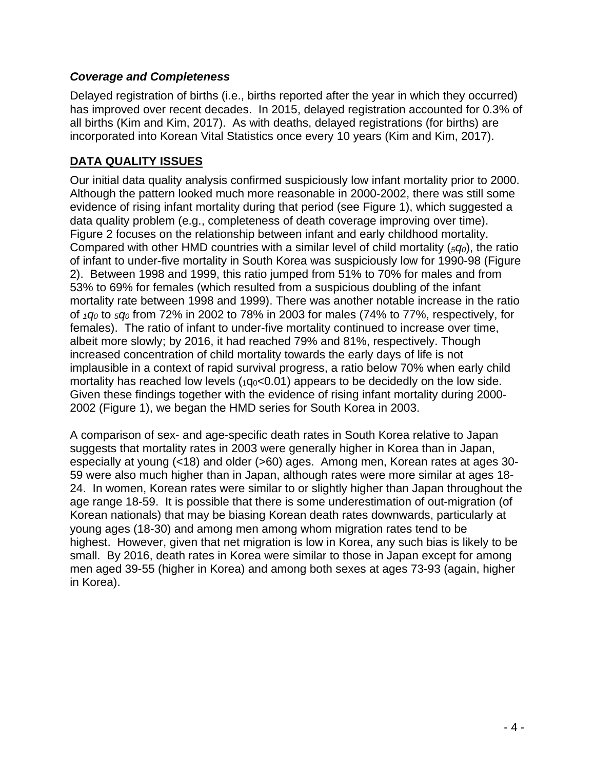#### *Coverage and Completeness*

Delayed registration of births (i.e., births reported after the year in which they occurred) has improved over recent decades. In 2015, delayed registration accounted for 0.3% of all births (Kim and Kim, 2017). As with deaths, delayed registrations (for births) are incorporated into Korean Vital Statistics once every 10 years (Kim and Kim, 2017).

### **DATA QUALITY ISSUES**

Our initial data quality analysis confirmed suspiciously low infant mortality prior to 2000. Although the pattern looked much more reasonable in 2000-2002, there was still some evidence of rising infant mortality during that period (see Figure 1), which suggested a data quality problem (e.g., completeness of death coverage improving over time). Figure 2 focuses on the relationship between infant and early childhood mortality. Compared with other HMD countries with a similar level of child mortality (*5q0*), the ratio of infant to under-five mortality in South Korea was suspiciously low for 1990-98 (Figure 2). Between 1998 and 1999, this ratio jumped from 51% to 70% for males and from 53% to 69% for females (which resulted from a suspicious doubling of the infant mortality rate between 1998 and 1999). There was another notable increase in the ratio of *1q0* to *5q0* from 72% in 2002 to 78% in 2003 for males (74% to 77%, respectively, for females). The ratio of infant to under-five mortality continued to increase over time, albeit more slowly; by 2016, it had reached 79% and 81%, respectively. Though increased concentration of child mortality towards the early days of life is not implausible in a context of rapid survival progress, a ratio below 70% when early child mortality has reached low levels  $(1q_0<0.01)$  appears to be decidedly on the low side. Given these findings together with the evidence of rising infant mortality during 2000- 2002 (Figure 1), we began the HMD series for South Korea in 2003.

A comparison of sex- and age-specific death rates in South Korea relative to Japan suggests that mortality rates in 2003 were generally higher in Korea than in Japan, especially at young (<18) and older (>60) ages. Among men, Korean rates at ages 30- 59 were also much higher than in Japan, although rates were more similar at ages 18- 24. In women, Korean rates were similar to or slightly higher than Japan throughout the age range 18-59. It is possible that there is some underestimation of out-migration (of Korean nationals) that may be biasing Korean death rates downwards, particularly at young ages (18-30) and among men among whom migration rates tend to be highest. However, given that net migration is low in Korea, any such bias is likely to be small. By 2016, death rates in Korea were similar to those in Japan except for among men aged 39-55 (higher in Korea) and among both sexes at ages 73-93 (again, higher in Korea).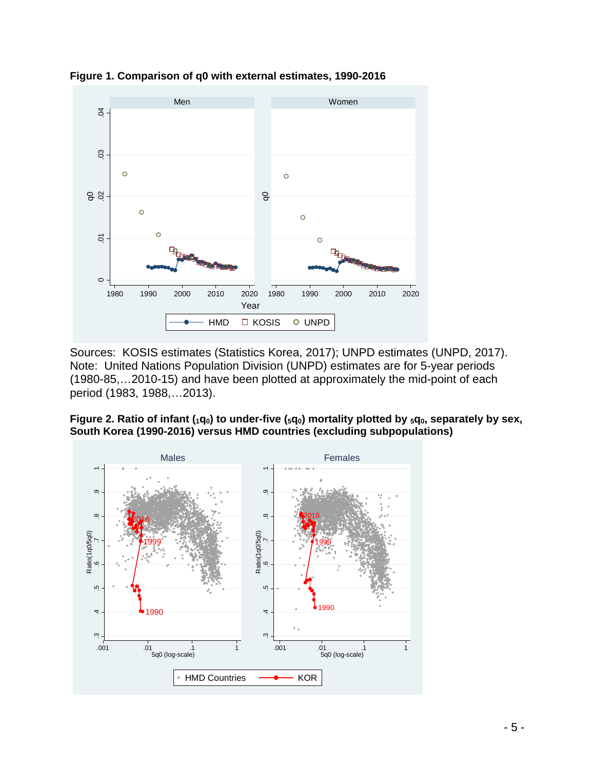



Sources: KOSIS estimates (Statistics Korea, 2017); UNPD estimates (UNPD, 2017). Note: United Nations Population Division (UNPD) estimates are for 5-year periods (1980-85,…2010-15) and have been plotted at approximately the mid-point of each period (1983, 1988,…2013).

Figure 2. Ratio of infant (<sub>1</sub>q<sub>0</sub>) to under-five (<sub>5</sub>q<sub>0</sub>) mortality plotted by <sub>5</sub>q<sub>0</sub>, separately by sex, **South Korea (1990-2016) versus HMD countries (excluding subpopulations)**

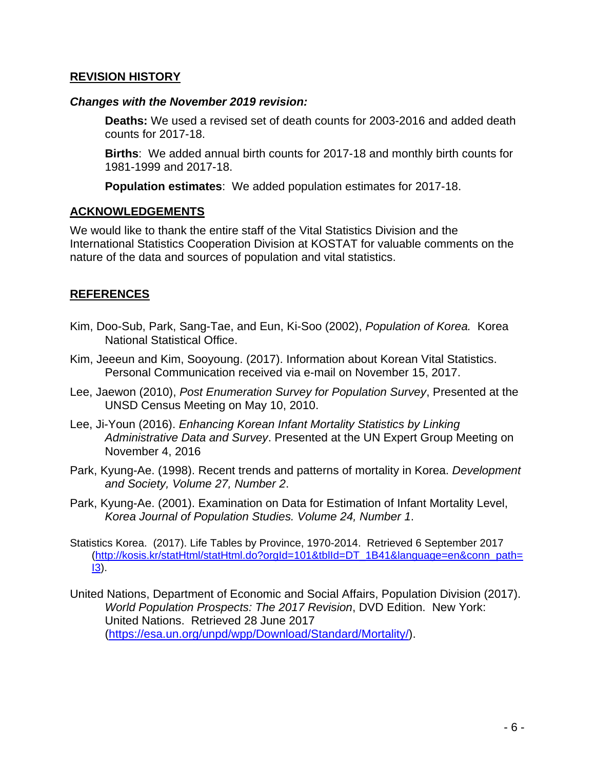#### **REVISION HISTORY**

#### *Changes with the November 2019 revision:*

**Deaths:** We used a revised set of death counts for 2003-2016 and added death counts for 2017-18.

**Births**: We added annual birth counts for 2017-18 and monthly birth counts for 1981-1999 and 2017-18.

**Population estimates**: We added population estimates for 2017-18.

#### **ACKNOWLEDGEMENTS**

We would like to thank the entire staff of the Vital Statistics Division and the International Statistics Cooperation Division at KOSTAT for valuable comments on the nature of the data and sources of population and vital statistics.

### **REFERENCES**

- Kim, Doo-Sub, Park, Sang-Tae, and Eun, Ki-Soo (2002), *Population of Korea.* Korea National Statistical Office.
- Kim, Jeeeun and Kim, Sooyoung. (2017). Information about Korean Vital Statistics. Personal Communication received via e-mail on November 15, 2017.
- Lee, Jaewon (2010), *Post Enumeration Survey for Population Survey*, Presented at the UNSD Census Meeting on May 10, 2010.
- Lee, Ji-Youn (2016). *Enhancing Korean Infant Mortality Statistics by Linking Administrative Data and Survey*. Presented at the UN Expert Group Meeting on November 4, 2016
- Park, Kyung-Ae. (1998). Recent trends and patterns of mortality in Korea. *Development and Society, Volume 27, Number 2*.
- Park, Kyung-Ae. (2001). Examination on Data for Estimation of Infant Mortality Level, *Korea Journal of Population Studies. Volume 24, Number 1*.
- Statistics Korea. (2017). Life Tables by Province, 1970-2014. Retrieved 6 September 2017 [\(http://kosis.kr/statHtml/statHtml.do?orgId=101&tblId=DT\\_1B41&language=en&conn\\_path=](http://kosis.kr/statHtml/statHtml.do?orgId=101&tblId=DT_1B41&language=en&conn_path=I3)  $13$ ).
- United Nations, Department of Economic and Social Affairs, Population Division (2017). *World Population Prospects: The 2017 Revision*, DVD Edition. New York: United Nations. Retrieved 28 June 2017 [\(https://esa.un.org/unpd/wpp/Download/Standard/Mortality/\)](https://esa.un.org/unpd/wpp/Download/Standard/Mortality/).